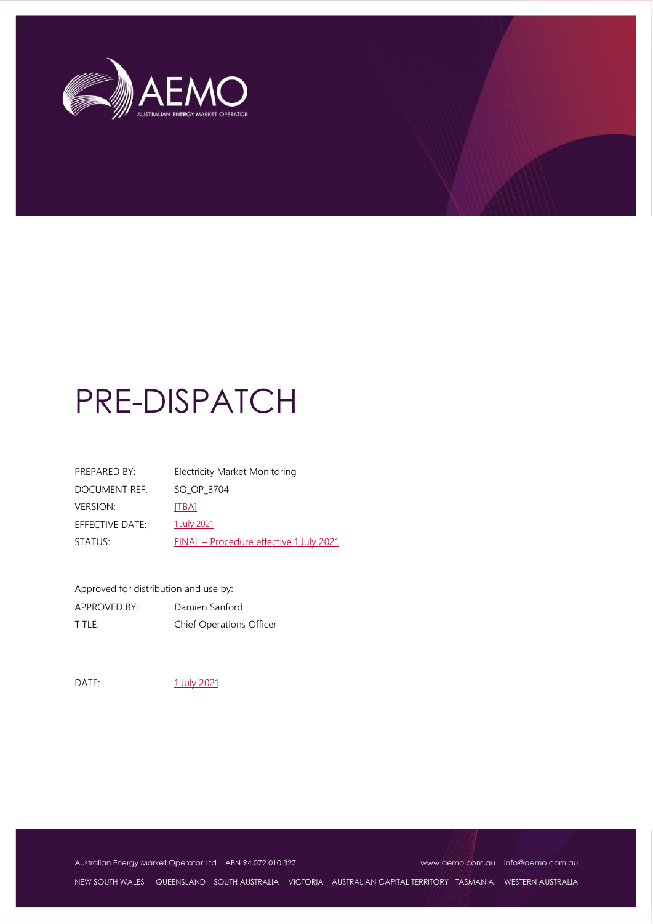

# PRE-DISPATCH

| PREPARED BY:    | Electricity Market Monitoring           |
|-----------------|-----------------------------------------|
| DOCUMENT REF:   | SO OP 3704                              |
| <b>VERSION:</b> | [TBA]                                   |
| EFFECTIVE DATE: | 1 July 2021                             |
| STATUS:         | FINAL - Procedure effective 1 July 2021 |

Approved for distribution and use by: APPROVED BY: Damien Sanford TITLE: Chief Operations Officer

DATE: 1 July 2021

Australian Energy Market Operator Ltd ABN 94 072 010 327 [www.aemo.com.au](http://www.aemo.com.au/) [info@aemo.com.au](mailto:info@aemo.com.au)

NEW SOUTH WALES QUEENSLAND SOUTH AUSTRALIA VICTORIA AUSTRALIAN CAPITAL TERRITORY TASMANIA WESTERN AUSTRALIA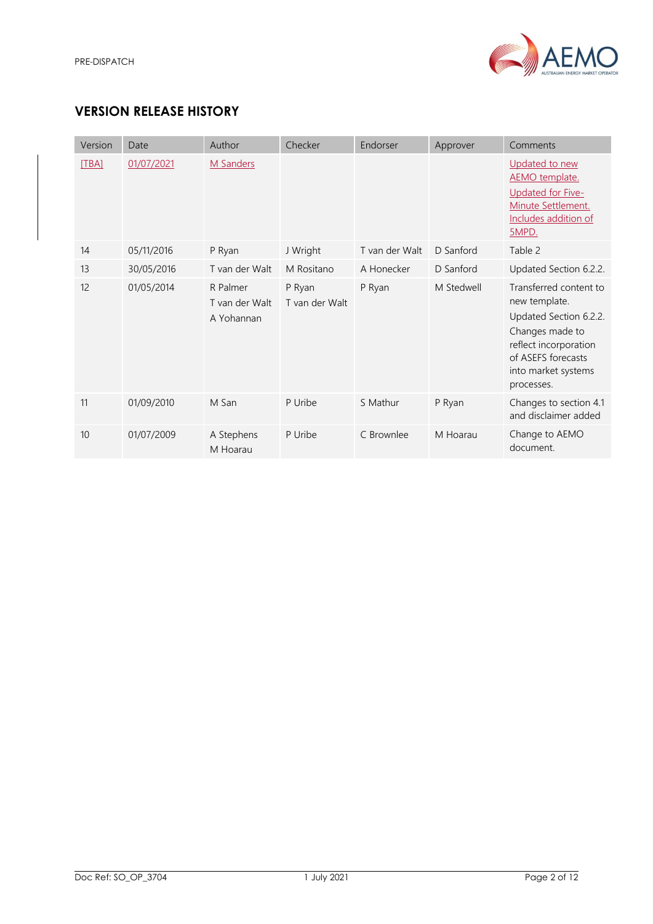

# **VERSION RELEASE HISTORY**

| Version | Date       | Author                                   | Checker                  | Endorser       | Approver   | Comments                                                                                                                                                                 |
|---------|------------|------------------------------------------|--------------------------|----------------|------------|--------------------------------------------------------------------------------------------------------------------------------------------------------------------------|
| [TBA]   | 01/07/2021 | <b>M</b> Sanders                         |                          |                |            | Updated to new<br>AEMO template.<br>Updated for Five-<br>Minute Settlement.<br>Includes addition of<br>5MPD.                                                             |
| 14      | 05/11/2016 | P Ryan                                   | J Wright                 | T van der Walt | D Sanford  | Table 2                                                                                                                                                                  |
| 13      | 30/05/2016 | T van der Walt                           | M Rositano               | A Honecker     | D Sanford  | Updated Section 6.2.2.                                                                                                                                                   |
| 12      | 01/05/2014 | R Palmer<br>T van der Walt<br>A Yohannan | P Ryan<br>T van der Walt | P Ryan         | M Stedwell | Transferred content to<br>new template.<br>Updated Section 6.2.2.<br>Changes made to<br>reflect incorporation<br>of ASEFS forecasts<br>into market systems<br>processes. |
| 11      | 01/09/2010 | M San                                    | P Uribe                  | S Mathur       | P Ryan     | Changes to section 4.1<br>and disclaimer added                                                                                                                           |
| 10      | 01/07/2009 | A Stephens<br>M Hoarau                   | P Uribe                  | C Brownlee     | M Hoarau   | Change to AEMO<br>document.                                                                                                                                              |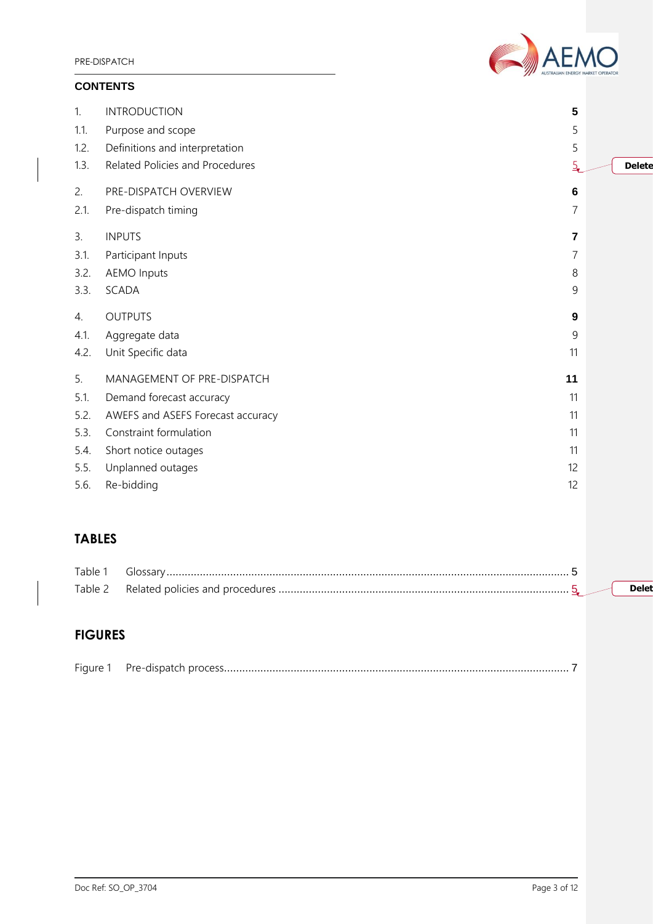PRE-DISPATCH

# **CONTENTS**



| 1.   | <b>INTRODUCTION</b>               | 5       |               |
|------|-----------------------------------|---------|---------------|
| 1.1. | Purpose and scope                 | 5       |               |
| 1.2. | Definitions and interpretation    | 5       |               |
| 1.3. | Related Policies and Procedures   |         | <b>Delete</b> |
| 2.   | PRE-DISPATCH OVERVIEW             | $\bf 6$ |               |
| 2.1. | Pre-dispatch timing               | 7       |               |
| 3.   | <b>INPUTS</b>                     | 7       |               |
| 3.1. | Participant Inputs                | 7       |               |
| 3.2. | <b>AEMO</b> Inputs                | 8       |               |
| 3.3. | SCADA                             | 9       |               |
| 4.   | <b>OUTPUTS</b>                    | 9       |               |
| 4.1. | Aggregate data                    | 9       |               |
| 4.2. | Unit Specific data                | 11      |               |
| 5.   | MANAGEMENT OF PRE-DISPATCH        | 11      |               |
| 5.1. | Demand forecast accuracy          | 11      |               |
| 5.2. | AWEFS and ASEFS Forecast accuracy | 11      |               |
| 5.3. | Constraint formulation            | 11      |               |
| 5.4. | Short notice outages              | 11      |               |
| 5.5. | Unplanned outages                 | 12      |               |
| 5.6. | Re-bidding                        | 12      |               |

# **TABLES**

| Table 1       | יוד'                            |  |
|---------------|---------------------------------|--|
| $\tau$ ahle 2 | Related policies and procedures |  |

# **FIGURES**

|--|--|--|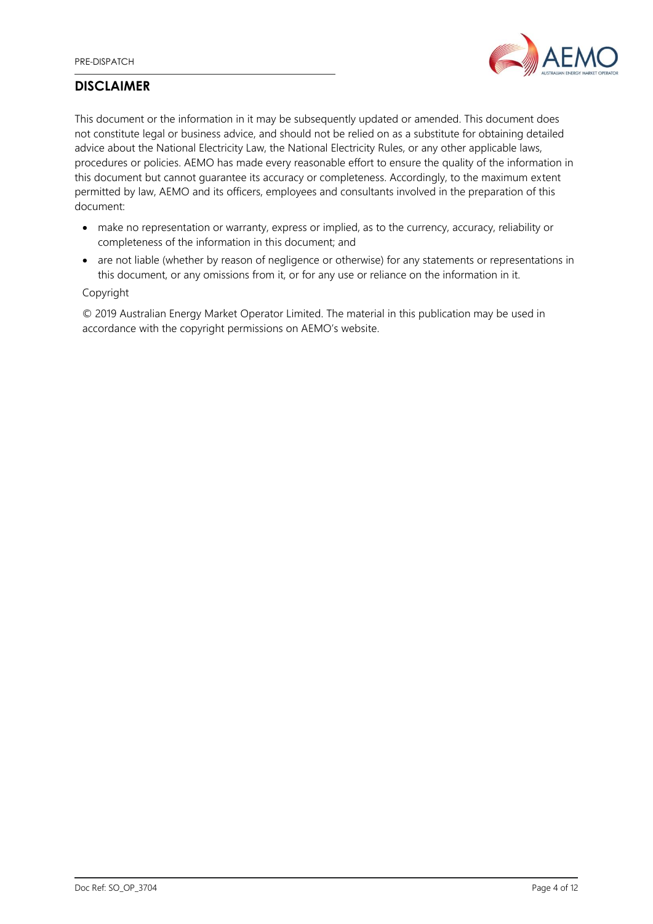

# **DISCLAIMER**

This document or the information in it may be subsequently updated or amended. This document does not constitute legal or business advice, and should not be relied on as a substitute for obtaining detailed advice about the National Electricity Law, the National Electricity Rules, or any other applicable laws, procedures or policies. AEMO has made every reasonable effort to ensure the quality of the information in this document but cannot guarantee its accuracy or completeness. Accordingly, to the maximum extent permitted by law, AEMO and its officers, employees and consultants involved in the preparation of this document:

- make no representation or warranty, express or implied, as to the currency, accuracy, reliability or completeness of the information in this document; and
- are not liable (whether by reason of negligence or otherwise) for any statements or representations in this document, or any omissions from it, or for any use or reliance on the information in it.

### Copyright

© 2019 Australian Energy Market Operator Limited. The material in this publication may be used in accordance with the copyright permissions on AEMO's website.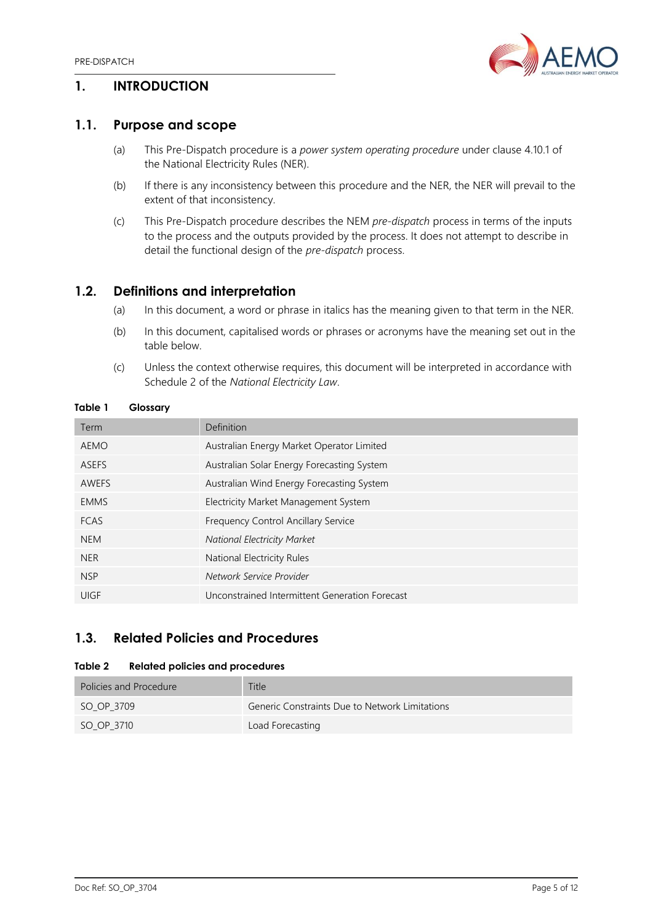

# <span id="page-4-0"></span>**1. INTRODUCTION**

# <span id="page-4-1"></span>**1.1. Purpose and scope**

- (a) This Pre-Dispatch procedure is a *power system operating procedure* under clause 4.10.1 of the National Electricity Rules (NER).
- (b) If there is any inconsistency between this procedure and the NER, the NER will prevail to the extent of that inconsistency.
- (c) This Pre-Dispatch procedure describes the NEM *pre-dispatch* process in terms of the inputs to the process and the outputs provided by the process. It does not attempt to describe in detail the functional design of the *pre-dispatch* process.

# <span id="page-4-2"></span>**1.2. Definitions and interpretation**

- (a) In this document, a word or phrase in italics has the meaning given to that term in the NER.
- (b) In this document, capitalised words or phrases or acronyms have the meaning set out in the table below.
- (c) Unless the context otherwise requires, this document will be interpreted in accordance with Schedule 2 of the *National Electricity Law*.

#### <span id="page-4-5"></span>**Table 1 Glossary**

| Term         | Definition                                     |
|--------------|------------------------------------------------|
| AEMO         | Australian Energy Market Operator Limited      |
| <b>ASEFS</b> | Australian Solar Energy Forecasting System     |
| <b>AWEFS</b> | Australian Wind Energy Forecasting System      |
| <b>EMMS</b>  | Electricity Market Management System           |
| <b>FCAS</b>  | Frequency Control Ancillary Service            |
| <b>NEM</b>   | <b>National Electricity Market</b>             |
| <b>NER</b>   | National Electricity Rules                     |
| <b>NSP</b>   | Network Service Provider                       |
| UIGF         | Unconstrained Intermittent Generation Forecast |
|              |                                                |

# <span id="page-4-3"></span>**1.3. Related Policies and Procedures**

#### <span id="page-4-6"></span>**Table 2 Related policies and procedures**

<span id="page-4-4"></span>

| Policies and Procedure | <b>Title</b>                                   |
|------------------------|------------------------------------------------|
| SO OP 3709             | Generic Constraints Due to Network Limitations |
| SO OP 3710             | Load Forecasting                               |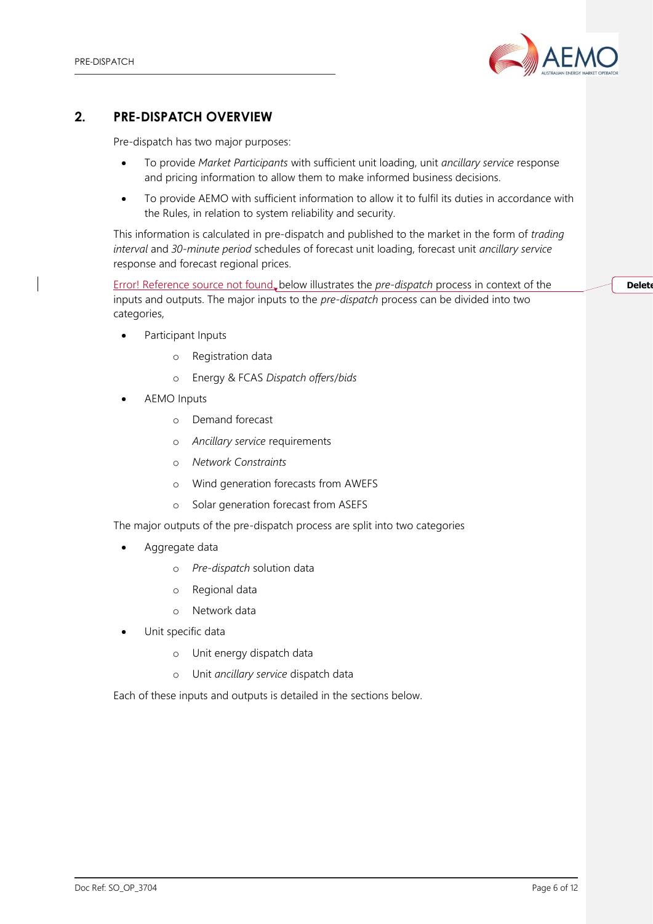

# **2. PRE-DISPATCH OVERVIEW**

Pre-dispatch has two major purposes:

- To provide *Market Participants* with sufficient unit loading, unit *ancillary service* response and pricing information to allow them to make informed business decisions.
- To provide AEMO with sufficient information to allow it to fulfil its duties in accordance with the Rules, in relation to system reliability and security.

This information is calculated in pre-dispatch and published to the market in the form of *trading interval* and *30-minute period* schedules of forecast unit loading, forecast unit *ancillary service* response and forecast regional prices.

Error! Reference source not found. below illustrates the *pre-dispatch* process in context of the inputs and outputs. The major inputs to the *pre-dispatch* process can be divided into two categories,

**Delete** 

- Participant Inputs
	- o Registration data
	- o Energy & FCAS *Dispatch offers*/*bids*
- AEMO Inputs
	- o Demand forecast
	- o *Ancillary service* requirements
	- o *Network Constraints*
	- o Wind generation forecasts from AWEFS
	- o Solar generation forecast from ASEFS

The major outputs of the pre-dispatch process are split into two categories

- Aggregate data
	- o *Pre-dispatch* solution data
	- o Regional data
	- o Network data
- Unit specific data
	- o Unit energy dispatch data
	- o Unit *ancillary service* dispatch data

Each of these inputs and outputs is detailed in the sections below.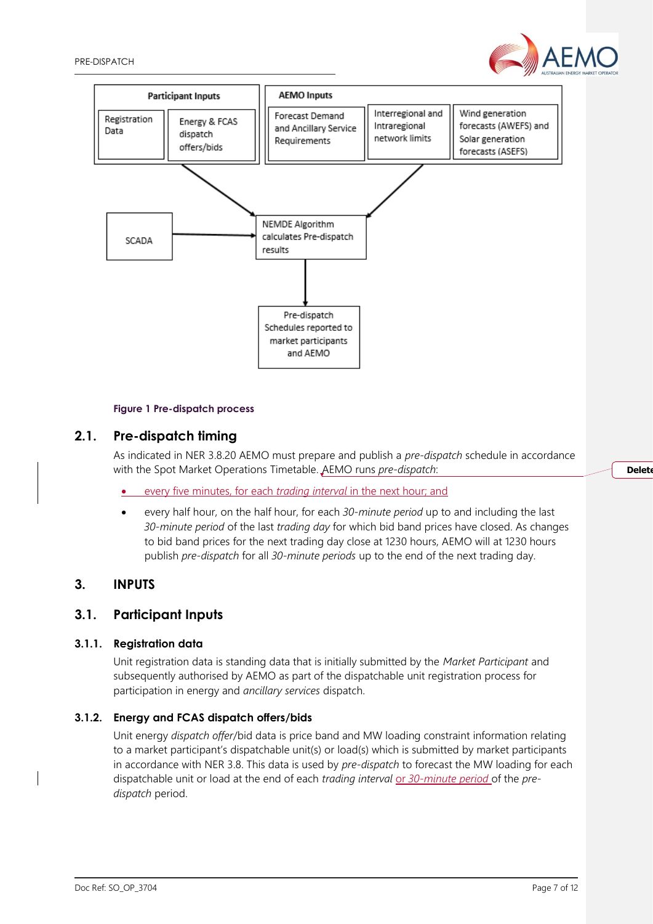



#### **Figure 1 Pre-dispatch process**

## <span id="page-6-3"></span><span id="page-6-0"></span>**2.1. Pre-dispatch timing**

As indicated in NER 3.8.20 AEMO must prepare and publish a *pre-dispatch* schedule in accordance with the Spot Market Operations Timetable. AEMO runs *pre-dispatch*:

- every five minutes, for each *trading interval* in the next hour; and
- every half hour, on the half hour, for each *30-minute period* up to and including the last *30-minute period* of the last *trading day* for which bid band prices have closed. As changes to bid band prices for the next trading day close at 1230 hours, AEMO will at 1230 hours publish *pre-dispatch* for all *30-minute periods* up to the end of the next trading day.

## <span id="page-6-1"></span>**3. INPUTS**

## <span id="page-6-2"></span>**3.1. Participant Inputs**

#### **3.1.1. Registration data**

Unit registration data is standing data that is initially submitted by the *Market Participant* and subsequently authorised by AEMO as part of the dispatchable unit registration process for participation in energy and *ancillary services* dispatch.

#### **3.1.2. Energy and FCAS dispatch offers/bids**

Unit energy *dispatch offer*/bid data is price band and MW loading constraint information relating to a market participant's dispatchable unit(s) or load(s) which is submitted by market participants in accordance with NER 3.8. This data is used by *pre-dispatch* to forecast the MW loading for each dispatchable unit or load at the end of each *trading interval* or *30-minute period* of the *predispatch* period.

#### **Delete**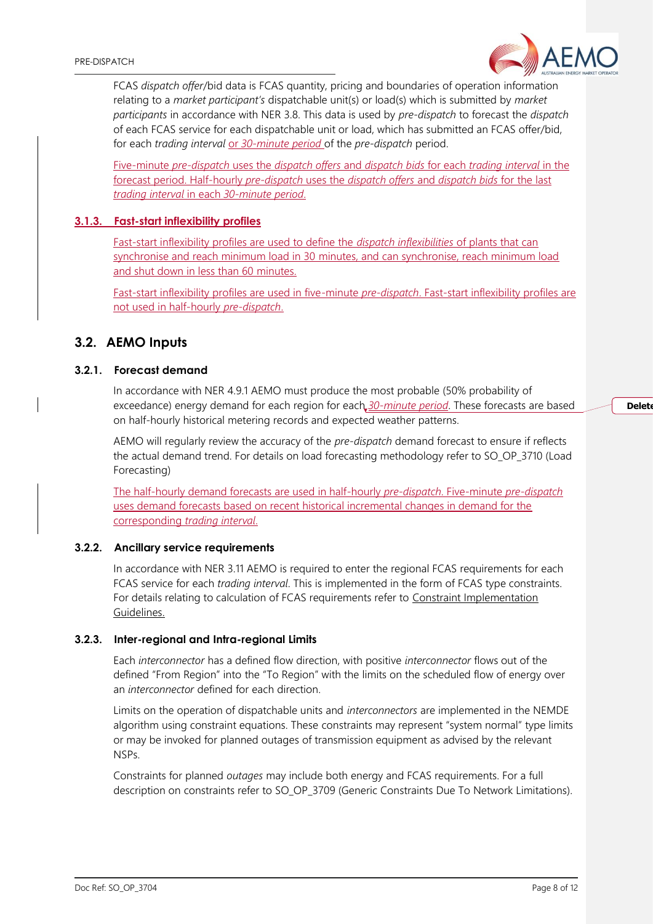FCAS *dispatch offer*/bid data is FCAS quantity, pricing and boundaries of operation information relating to a *market participant's* dispatchable unit(s) or load(s) which is submitted by *market participants* in accordance with NER 3.8. This data is used by *pre-dispatch* to forecast the *dispatch* of each FCAS service for each dispatchable unit or load, which has submitted an FCAS offer/bid, for each *trading interval* or *30-minute period* of the *pre-dispatch* period.

Five-minute *pre-dispatch* uses the *dispatch offers* and *dispatch bids* for each *trading interval* in the forecast period. Half-hourly *pre-dispatch* uses the *dispatch offers* and *dispatch bids* for the last *trading interval* in each *30-minute period*.

#### **3.1.3. Fast-start inflexibility profiles**

Fast-start inflexibility profiles are used to define the *dispatch inflexibilities* of plants that can synchronise and reach minimum load in 30 minutes, and can synchronise, reach minimum load and shut down in less than 60 minutes.

Fast-start inflexibility profiles are used in five-minute *pre-dispatch*. Fast-start inflexibility profiles are not used in half-hourly *pre-dispatch*.

## <span id="page-7-0"></span>**3.2. AEMO Inputs**

### **3.2.1. Forecast demand**

In accordance with NER 4.9.1 AEMO must produce the most probable (50% probability of exceedance) energy demand for each region for each *30-minute period*. These forecasts are based on half-hourly historical metering records and expected weather patterns.

AEMO will regularly review the accuracy of the *pre-dispatch* demand forecast to ensure if reflects the actual demand trend. For details on load forecasting methodology refer to SO\_OP\_3710 (Load Forecasting)

The half-hourly demand forecasts are used in half-hourly *pre-dispatch*. Five-minute *pre-dispatch* uses demand forecasts based on recent historical incremental changes in demand for the corresponding *trading interval*.

#### **3.2.2. Ancillary service requirements**

In accordance with NER 3.11 AEMO is required to enter the regional FCAS requirements for each FCAS service for each *trading interval*. This is implemented in the form of FCAS type constraints. For details relating to calculation of FCAS requirements refer to [Constraint Implementation](http://www.aemo.com.au/-/media/Files/Electricity/NEM/Security_and_Reliability/Congestion-Information/Constraint-Implementation-Guidelines.pdf)  [Guidelines.](http://www.aemo.com.au/-/media/Files/Electricity/NEM/Security_and_Reliability/Congestion-Information/Constraint-Implementation-Guidelines.pdf)

#### **3.2.3. Inter-regional and Intra-regional Limits**

Each *interconnector* has a defined flow direction, with positive *interconnector* flows out of the defined "From Region" into the "To Region" with the limits on the scheduled flow of energy over an *interconnector* defined for each direction.

Limits on the operation of dispatchable units and *interconnectors* are implemented in the NEMDE algorithm using constraint equations. These constraints may represent "system normal" type limits or may be invoked for planned outages of transmission equipment as advised by the relevant NSPs.

Constraints for planned *outages* may include both energy and FCAS requirements. For a full description on constraints refer to SO\_OP\_3709 (Generic Constraints Due To Network Limitations).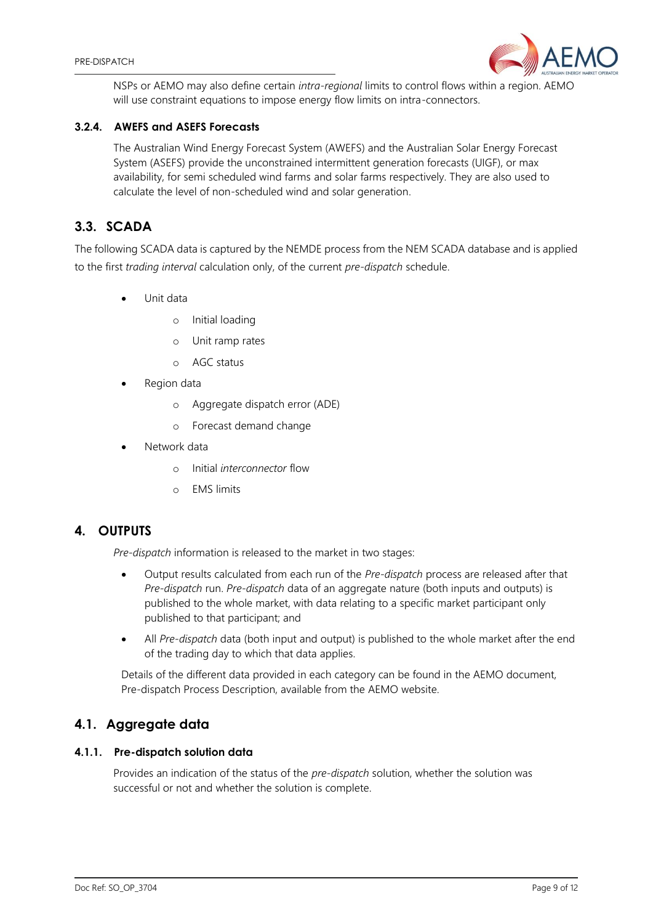

NSPs or AEMO may also define certain *intra-regional* limits to control flows within a region. AEMO will use constraint equations to impose energy flow limits on intra-connectors.

## **3.2.4. AWEFS and ASEFS Forecasts**

The Australian Wind Energy Forecast System (AWEFS) and the Australian Solar Energy Forecast System (ASEFS) provide the unconstrained intermittent generation forecasts (UIGF), or max availability, for semi scheduled wind farms and solar farms respectively. They are also used to calculate the level of non-scheduled wind and solar generation.

# <span id="page-8-0"></span>**3.3. SCADA**

The following SCADA data is captured by the NEMDE process from the NEM SCADA database and is applied to the first *trading interval* calculation only, of the current *pre-dispatch* schedule.

- Unit data
	- o Initial loading
	- o Unit ramp rates
	- o AGC status
- Region data
	- o Aggregate dispatch error (ADE)
	- o Forecast demand change
- Network data
	- o Initial *interconnector* flow
	- o EMS limits

## <span id="page-8-1"></span>**4. OUTPUTS**

*Pre-dispatch* information is released to the market in two stages:

- Output results calculated from each run of the *Pre-dispatch* process are released after that *Pre-dispatch* run. *Pre-dispatch* data of an aggregate nature (both inputs and outputs) is published to the whole market, with data relating to a specific market participant only published to that participant; and
- All *Pre-dispatch* data (both input and output) is published to the whole market after the end of the trading day to which that data applies.

Details of the different data provided in each category can be found in the AEMO document, Pre-dispatch Process Description, available from the AEMO website.

# <span id="page-8-2"></span>**4.1. Aggregate data**

## **4.1.1. Pre-dispatch solution data**

Provides an indication of the status of the *pre-dispatch* solution, whether the solution was successful or not and whether the solution is complete.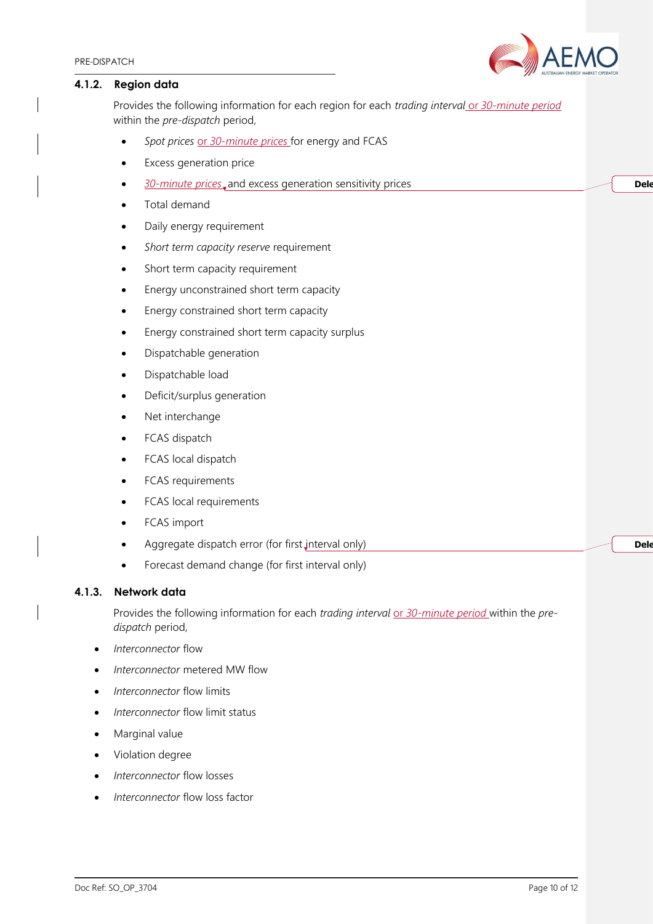Dele

**Dele** 

#### **4.1.2. Region data**

Provides the following information for each region for each *trading interval* or 30-minute period within the *pre-dispatch* period,

- *Spot prices* or *30-minute prices* for energy and FCAS
- **Excess generation price**
- *30-minute prices* and excess generation sensitivity prices
- Total demand
- Daily energy requirement
- *Short term capacity reserve* requirement
- Short term capacity requirement
- Energy unconstrained short term capacity
- Energy constrained short term capacity
- Energy constrained short term capacity surplus
- Dispatchable generation
- Dispatchable load
- Deficit/surplus generation
- Net interchange
- FCAS dispatch
- FCAS local dispatch
- FCAS requirements
- FCAS local requirements
- FCAS import
- Aggregate dispatch error (for first interval only)
- Forecast demand change (for first interval only)

#### **4.1.3. Network data**

Provides the following information for each *trading interval* or 30-minute period within the pre*dispatch* period,

- *Interconnector* flow
- *Interconnector* metered MW flow
- *Interconnector* flow limits
- *Interconnector* flow limit status
- Marginal value
- Violation degree
- *Interconnector* flow losses
- *Interconnector* flow loss factor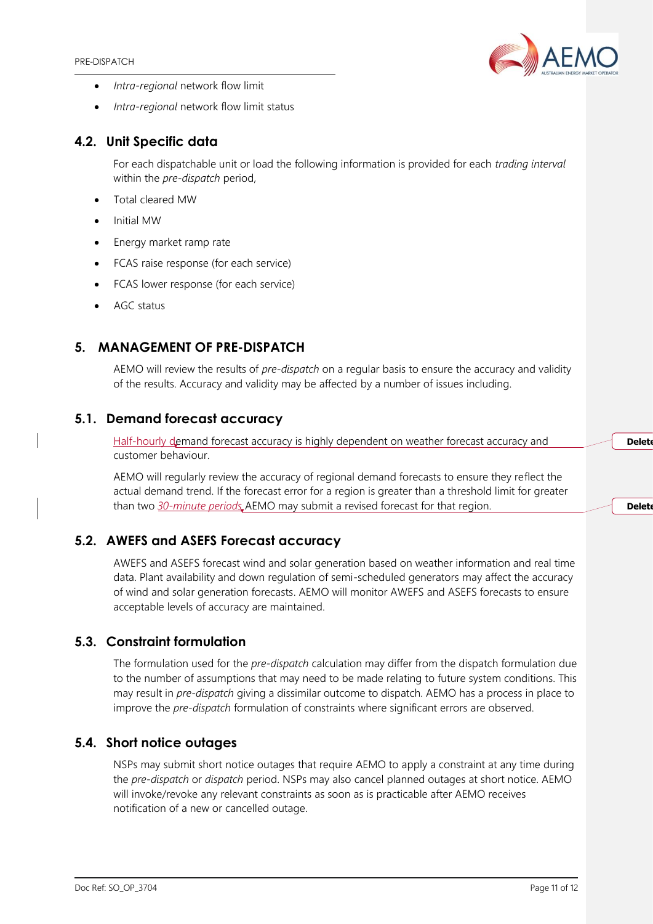

- *Intra-regional* network flow limit
- *Intra-regional* network flow limit status

# <span id="page-10-0"></span>**4.2. Unit Specific data**

For each dispatchable unit or load the following information is provided for each *trading interval* within the *pre-dispatch* period,

- Total cleared MW
- Initial MW
- Energy market ramp rate
- FCAS raise response (for each service)
- FCAS lower response (for each service)
- AGC status

# <span id="page-10-1"></span>**5. MANAGEMENT OF PRE-DISPATCH**

AEMO will review the results of *pre-dispatch* on a regular basis to ensure the accuracy and validity of the results. Accuracy and validity may be affected by a number of issues including.

## <span id="page-10-2"></span>**5.1. Demand forecast accuracy**

Half-hourly demand forecast accuracy is highly dependent on weather forecast accuracy and customer behaviour.

AEMO will regularly review the accuracy of regional demand forecasts to ensure they reflect the actual demand trend. If the forecast error for a region is greater than a threshold limit for greater than two *30-minute periods* AEMO may submit a revised forecast for that region.

## <span id="page-10-3"></span>**5.2. AWEFS and ASEFS Forecast accuracy**

AWEFS and ASEFS forecast wind and solar generation based on weather information and real time data. Plant availability and down regulation of semi-scheduled generators may affect the accuracy of wind and solar generation forecasts. AEMO will monitor AWEFS and ASEFS forecasts to ensure acceptable levels of accuracy are maintained.

# <span id="page-10-4"></span>**5.3. Constraint formulation**

The formulation used for the *pre-dispatch* calculation may differ from the dispatch formulation due to the number of assumptions that may need to be made relating to future system conditions. This may result in *pre-dispatch* giving a dissimilar outcome to dispatch. AEMO has a process in place to improve the *pre-dispatch* formulation of constraints where significant errors are observed.

## <span id="page-10-5"></span>**5.4. Short notice outages**

NSPs may submit short notice outages that require AEMO to apply a constraint at any time during the *pre-dispatch* or *dispatch* period. NSPs may also cancel planned outages at short notice. AEMO will invoke/revoke any relevant constraints as soon as is practicable after AEMO receives notification of a new or cancelled outage.

Delete

**Delete**